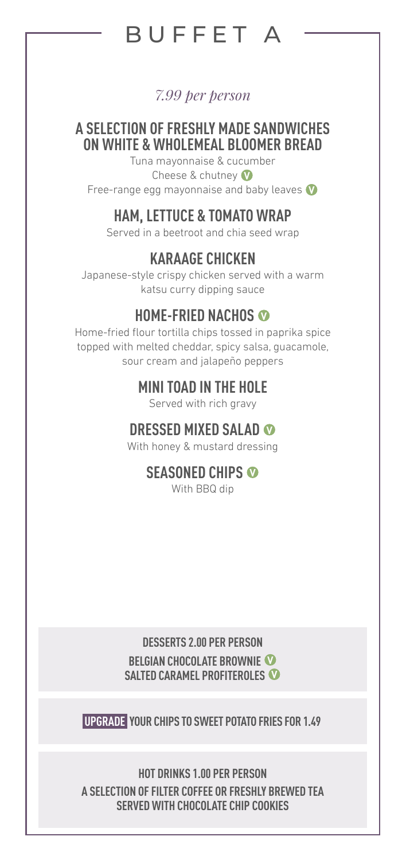# BUFFET A

#### *7.99 per person*

## **A SELECTION OF FRESHLY MADE SANDWICHES ON WHITE & WHOLEMEAL BLOOMER BREAD**

Tuna mayonnaise & cucumber Cheese & chutney **V** Free-range egg mayonnaise and baby leaves **V**

## **HAM, LETTUCE & TOMATO WRAP**

Served in a beetroot and chia seed wrap

## **KARAAGE CHICKEN**

Japanese-style crispy chicken served with a warm katsu curry dipping sauce

## **HOME-FRIED NACHOS <sup>V</sup>**

Home-fried flour tortilla chips tossed in paprika spice topped with melted cheddar, spicy salsa, guacamole, sour cream and jalapeño peppers

## **MINI TOAD IN THE HOLE**

Served with rich gravy

## **DRESSED MIXED SALAD <sup>V</sup>**

With honey & mustard dressing

## **SEASONED CHIPS <sup>V</sup>**

With BBQ dip

**DESSERTS 2.00 PER PERSON BELGIAN CHOCOLATE BROWNIE V SALTED CARAMEL PROFITEROLES V**

**UPGRADE YOUR CHIPS TO SWEET POTATO FRIES FOR 1.49**

**HOT DRINKS 1.00 PER PERSON A SELECTION OF FILTER COFFEE OR FRESHLY BREWED TEA SERVED WITH CHOCOLATE CHIP COOKIES**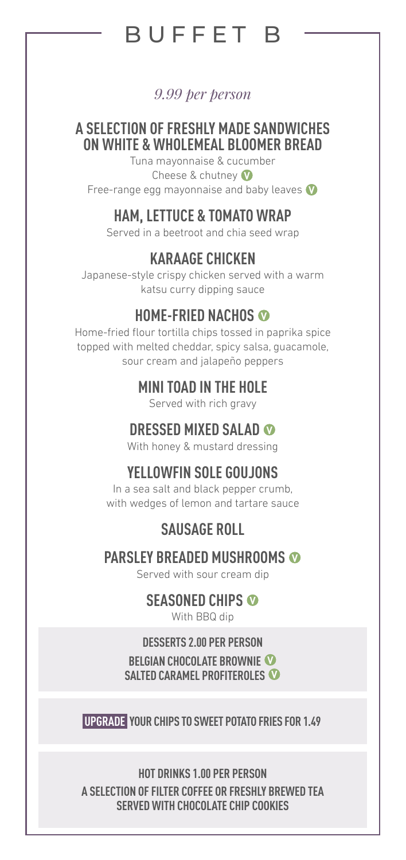# BUFFET B

#### *9.99 per person*

#### **A SELECTION OF FRESHLY MADE SANDWICHES ON WHITE & WHOLEMEAL BLOOMER BREAD**

Tuna mayonnaise & cucumber Cheese & chutney **V** Free-range egg mayonnaise and baby leaves **V**

## **HAM, LETTUCE & TOMATO WRAP**

Served in a beetroot and chia seed wrap

## **KARAAGE CHICKEN**

Japanese-style crispy chicken served with a warm katsu curry dipping sauce

## **HOME-FRIED NACHOS <sup>V</sup>**

Home-fried flour tortilla chips tossed in paprika spice topped with melted cheddar, spicy salsa, guacamole, sour cream and jalapeño peppers

## **MINI TOAD IN THE HOLE**

Served with rich gravy

## **DRESSED MIXED SALAD <sup>V</sup>**

With honey & mustard dressing

## **YELLOWFIN SOLE GOUJONS**

In a sea salt and black pepper crumb, with wedges of lemon and tartare sauce

## **SAUSAGE ROLL**

#### **PARSLEY BREADED MUSHROOMS <sup>V</sup>**

Served with sour cream dip

#### **SEASONED CHIPS <sup>V</sup>**

With BBQ dip

#### **DESSERTS 2.00 PER PERSON**

**BELGIAN CHOCOLATE BROWNIE V SALTED CARAMEL PROFITEROLES V**

**UPGRADE YOUR CHIPS TO SWEET POTATO FRIES FOR 1.49**

**HOT DRINKS 1.00 PER PERSON A SELECTION OF FILTER COFFEE OR FRESHLY BREWED TEA SERVED WITH CHOCOLATE CHIP COOKIES**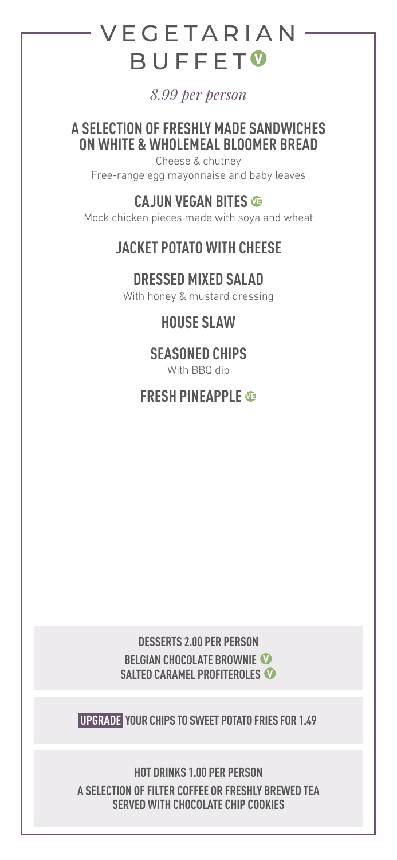# **VEGETARIAN** BUFFET **<sup>V</sup>**

*8.99 per person*

**A SELECTION OF FRESHLY MADE SANDWICHES ON WHITE & WHOLEMEAL BLOOMER BREAD**

Cheese & chutney Free-range egg mayonnaise and baby leaves

## **CAJUN VEGAN BITES VE**

Mock chicken pieces made with soya and wheat

## **JACKET POTATO WITH CHEESE**

## **DRESSED MIXED SALAD**

With honey & mustard dressing

## **HOUSE SLAW**

## **SEASONED CHIPS**

With BBQ dip

## **FRESH PINEAPPLE VE**

#### **DESSERTS 2.00 PER PERSON BELGIAN CHOCOLATE BROWNIE V SALTED CARAMEL PROFITEROLES V**

**UPGRADE YOUR CHIPS TO SWEET POTATO FRIES FOR 1.49**

**HOT DRINKS 1.00 PER PERSON A SELECTION OF FILTER COFFEE OR FRESHLY BREWED TEA SERVED WITH CHOCOLATE CHIP COOKIES**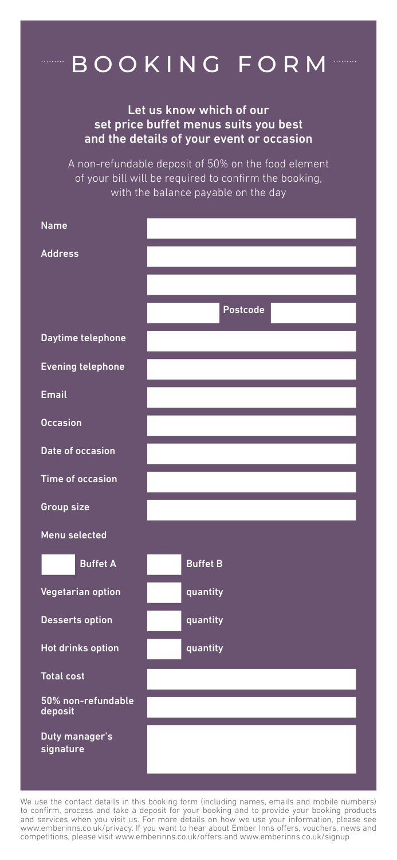# BOOKING FORM

Let us know which of our set price buffet menus suits you best and the details of your event or occasion

A non-refundable deposit of 50% on the food element of your bill will be required to confirm the booking, with the balance payable on the day

| <b>Name</b>                   |                 |
|-------------------------------|-----------------|
| <b>Address</b>                |                 |
|                               |                 |
|                               | Postcode        |
| Daytime telephone             |                 |
| <b>Evening telephone</b>      |                 |
| <b>Email</b>                  |                 |
| <b>Occasion</b>               |                 |
| Date of occasion              |                 |
| Time of occasion              |                 |
| Group size                    |                 |
| Menu selected                 |                 |
| <b>Buffet A</b>               | <b>Buffet B</b> |
| Vegetarian option             | quantity        |
| Desserts option               | quantity        |
| Hot drinks option             | quantity        |
| <b>Total cost</b>             |                 |
| 50% non-refundable<br>deposit |                 |
| Duty manager's<br>signature   |                 |

We use the contact details in this booking form (including names, emails and mobile numbers) to confirm, process and take a deposit for your booking and to provide your booking products and services when you visit us. For more details on how we use your information, please see www.emberinns.co.uk/privacy. If you want to hear about Ember Inns offers, vouchers, news and competitions, please visit www.emberinns.co.uk/offers and www.emberinns.co.uk/signup